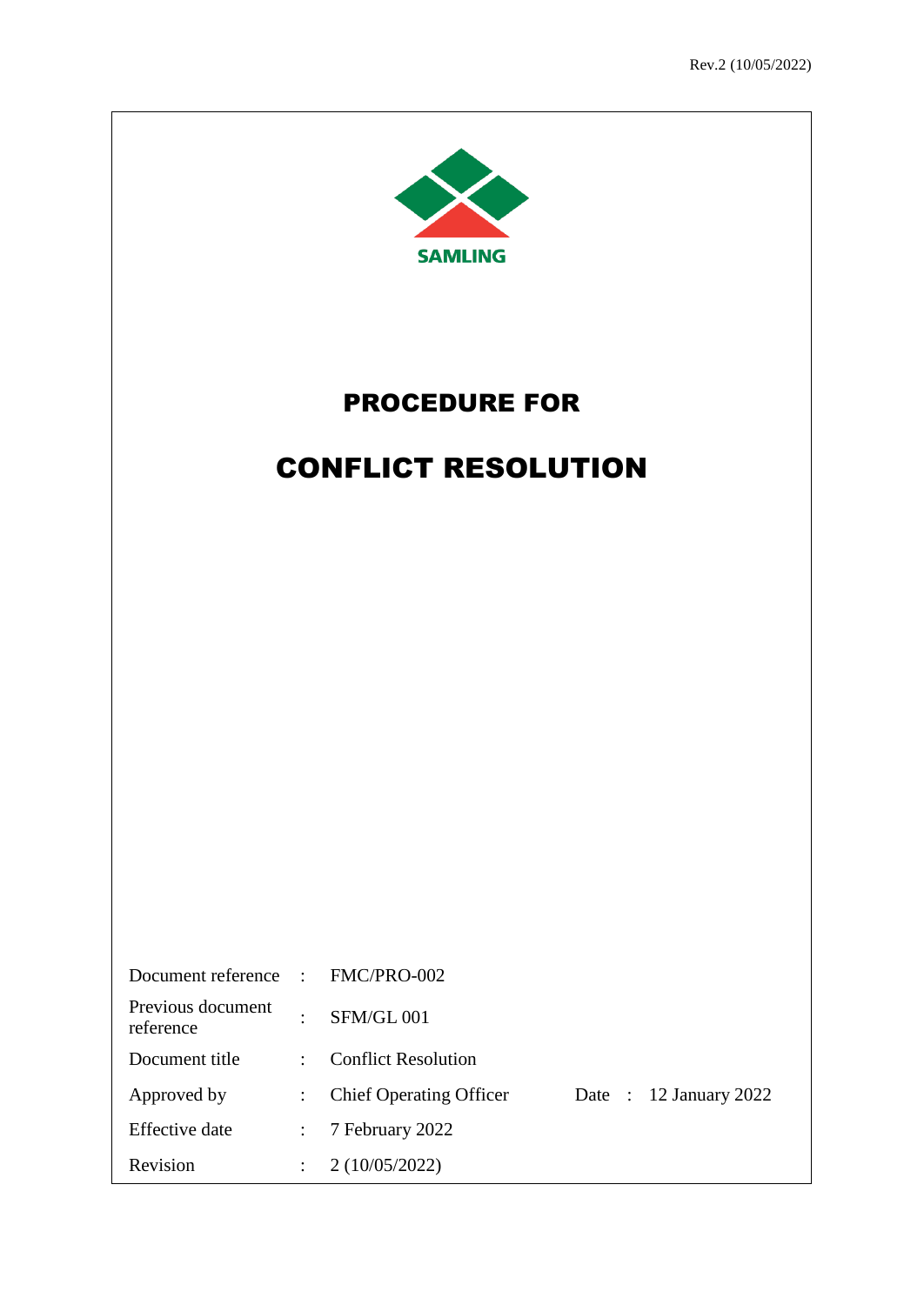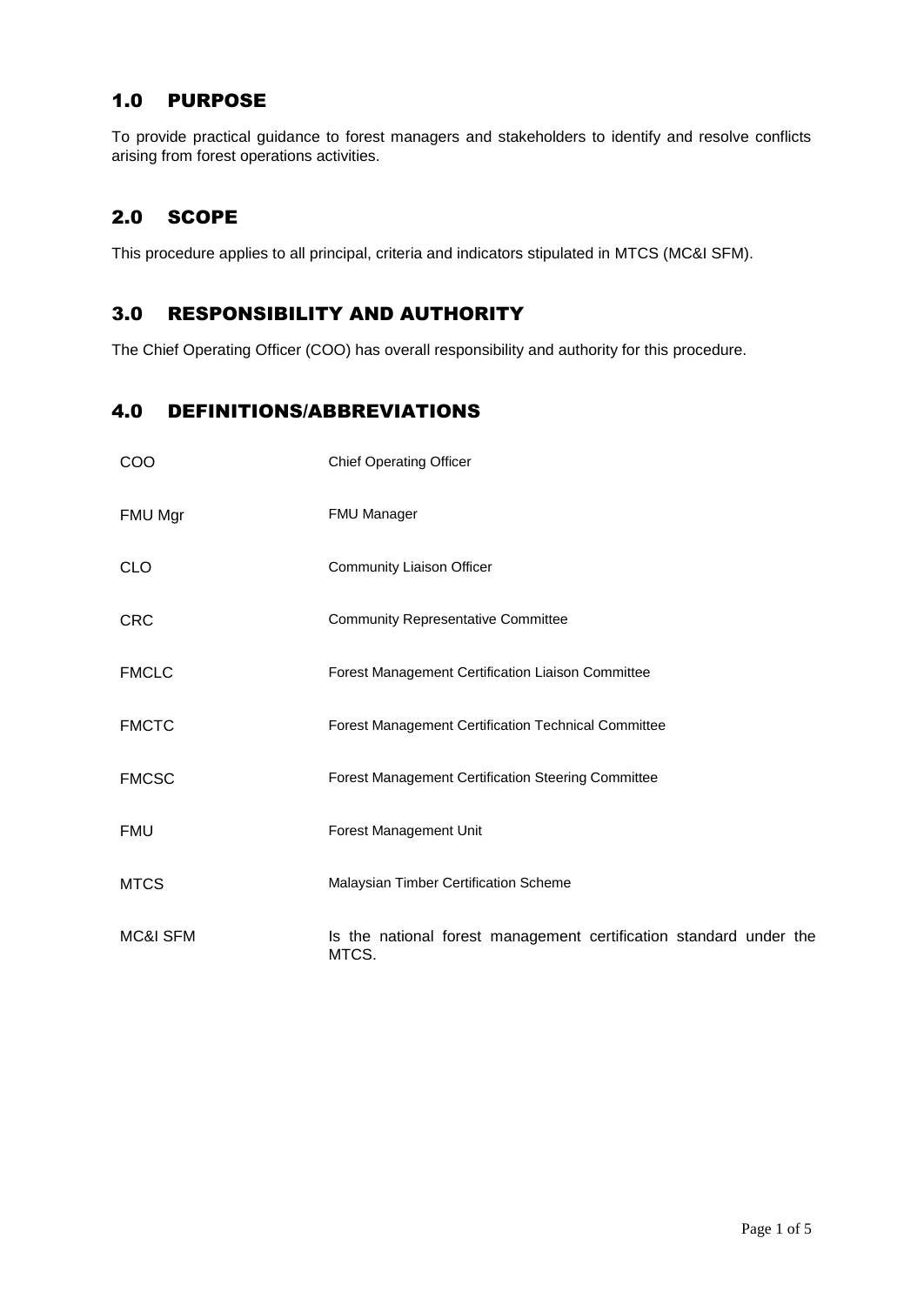## 1.0 PURPOSE

To provide practical guidance to forest managers and stakeholders to identify and resolve conflicts arising from forest operations activities.

## 2.0 SCOPE

This procedure applies to all principal, criteria and indicators stipulated in MTCS (MC&I SFM).

## 3.0 RESPONSIBILITY AND AUTHORITY

The Chief Operating Officer (COO) has overall responsibility and authority for this procedure.

## 4.0 DEFINITIONS/ABBREVIATIONS

| COO                 | <b>Chief Operating Officer</b>                                              |
|---------------------|-----------------------------------------------------------------------------|
| FMU Mgr             | <b>FMU Manager</b>                                                          |
| <b>CLO</b>          | Community Liaison Officer                                                   |
| <b>CRC</b>          | <b>Community Representative Committee</b>                                   |
| <b>FMCLC</b>        | Forest Management Certification Liaison Committee                           |
| <b>FMCTC</b>        | <b>Forest Management Certification Technical Committee</b>                  |
| <b>FMCSC</b>        | <b>Forest Management Certification Steering Committee</b>                   |
| <b>FMU</b>          | Forest Management Unit                                                      |
| <b>MTCS</b>         | Malaysian Timber Certification Scheme                                       |
| <b>MC&amp;I SFM</b> | Is the national forest management certification standard under the<br>MTCS. |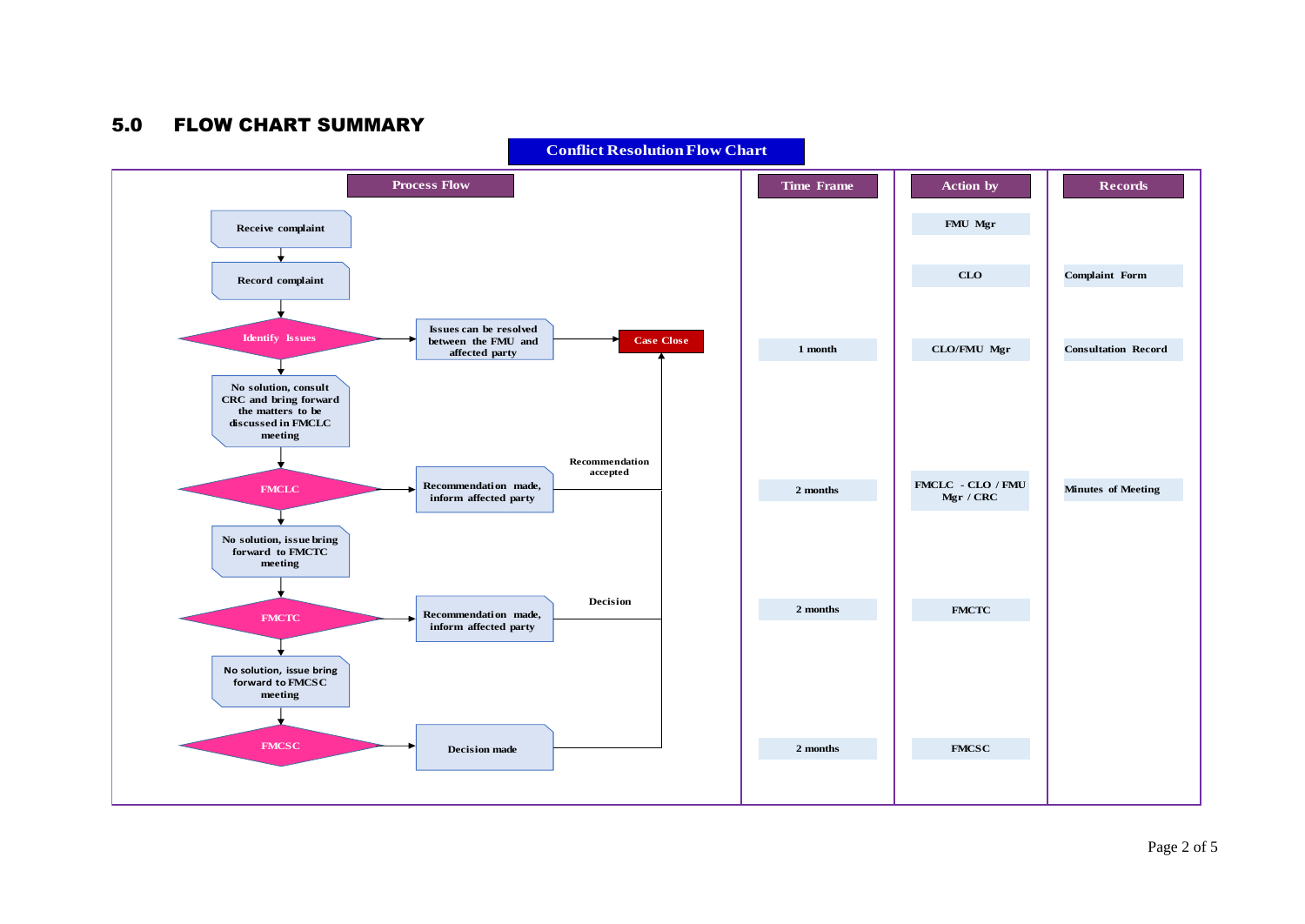## 5.0 FLOW CHART SUMMARY



**Conflict Resolution Flow Chart**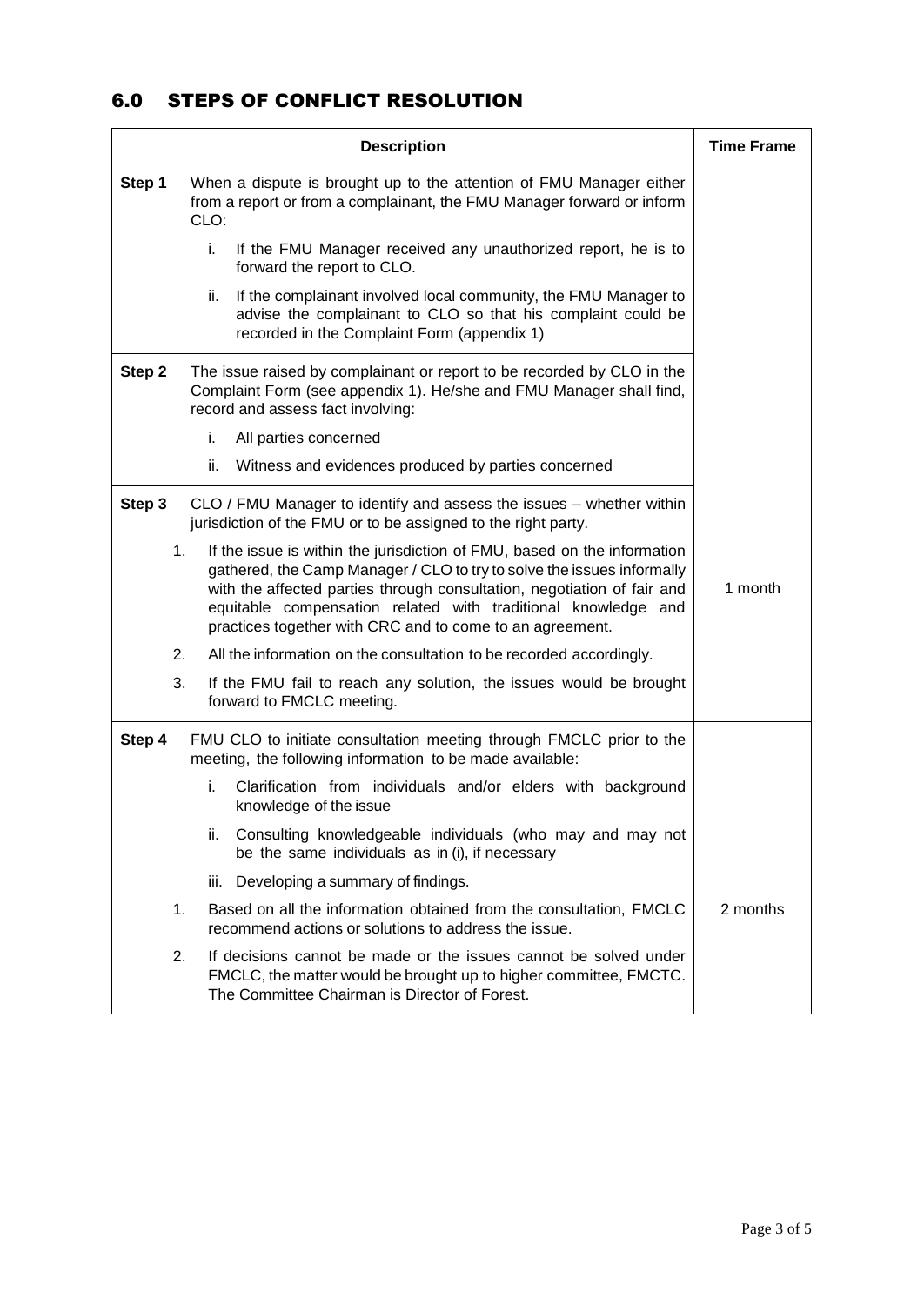## 6.0 STEPS OF CONFLICT RESOLUTION

|                                                                                                                                                                                                                                                                                                                                                                             | <b>Time Frame</b>                                                                                                                                                                      |          |
|-----------------------------------------------------------------------------------------------------------------------------------------------------------------------------------------------------------------------------------------------------------------------------------------------------------------------------------------------------------------------------|----------------------------------------------------------------------------------------------------------------------------------------------------------------------------------------|----------|
| Step 1                                                                                                                                                                                                                                                                                                                                                                      | When a dispute is brought up to the attention of FMU Manager either<br>from a report or from a complainant, the FMU Manager forward or inform<br>CLO:                                  |          |
|                                                                                                                                                                                                                                                                                                                                                                             | i.<br>If the FMU Manager received any unauthorized report, he is to<br>forward the report to CLO.                                                                                      |          |
|                                                                                                                                                                                                                                                                                                                                                                             | If the complainant involved local community, the FMU Manager to<br>ii.<br>advise the complainant to CLO so that his complaint could be<br>recorded in the Complaint Form (appendix 1)  |          |
| Step 2<br>The issue raised by complainant or report to be recorded by CLO in the<br>Complaint Form (see appendix 1). He/she and FMU Manager shall find,<br>record and assess fact involving:                                                                                                                                                                                |                                                                                                                                                                                        |          |
|                                                                                                                                                                                                                                                                                                                                                                             | i.<br>All parties concerned                                                                                                                                                            |          |
|                                                                                                                                                                                                                                                                                                                                                                             | ii.<br>Witness and evidences produced by parties concerned                                                                                                                             |          |
| Step 3                                                                                                                                                                                                                                                                                                                                                                      | CLO / FMU Manager to identify and assess the issues - whether within<br>jurisdiction of the FMU or to be assigned to the right party.                                                  |          |
| 1.<br>If the issue is within the jurisdiction of FMU, based on the information<br>gathered, the Camp Manager / CLO to try to solve the issues informally<br>with the affected parties through consultation, negotiation of fair and<br>1 month<br>equitable compensation related with traditional knowledge and<br>practices together with CRC and to come to an agreement. |                                                                                                                                                                                        |          |
| 2.                                                                                                                                                                                                                                                                                                                                                                          | All the information on the consultation to be recorded accordingly.                                                                                                                    |          |
| 3.                                                                                                                                                                                                                                                                                                                                                                          | If the FMU fail to reach any solution, the issues would be brought<br>forward to FMCLC meeting.                                                                                        |          |
| Step 4<br>FMU CLO to initiate consultation meeting through FMCLC prior to the<br>meeting, the following information to be made available:                                                                                                                                                                                                                                   |                                                                                                                                                                                        |          |
|                                                                                                                                                                                                                                                                                                                                                                             | i.<br>Clarification from individuals and/or elders with background<br>knowledge of the issue                                                                                           |          |
|                                                                                                                                                                                                                                                                                                                                                                             | Consulting knowledgeable individuals (who may and may not<br>II.<br>be the same individuals as in (i), if necessary                                                                    |          |
|                                                                                                                                                                                                                                                                                                                                                                             | iii. Developing a summary of findings.                                                                                                                                                 |          |
| 1.                                                                                                                                                                                                                                                                                                                                                                          | Based on all the information obtained from the consultation, FMCLC<br>recommend actions or solutions to address the issue.                                                             | 2 months |
| 2.                                                                                                                                                                                                                                                                                                                                                                          | If decisions cannot be made or the issues cannot be solved under<br>FMCLC, the matter would be brought up to higher committee, FMCTC.<br>The Committee Chairman is Director of Forest. |          |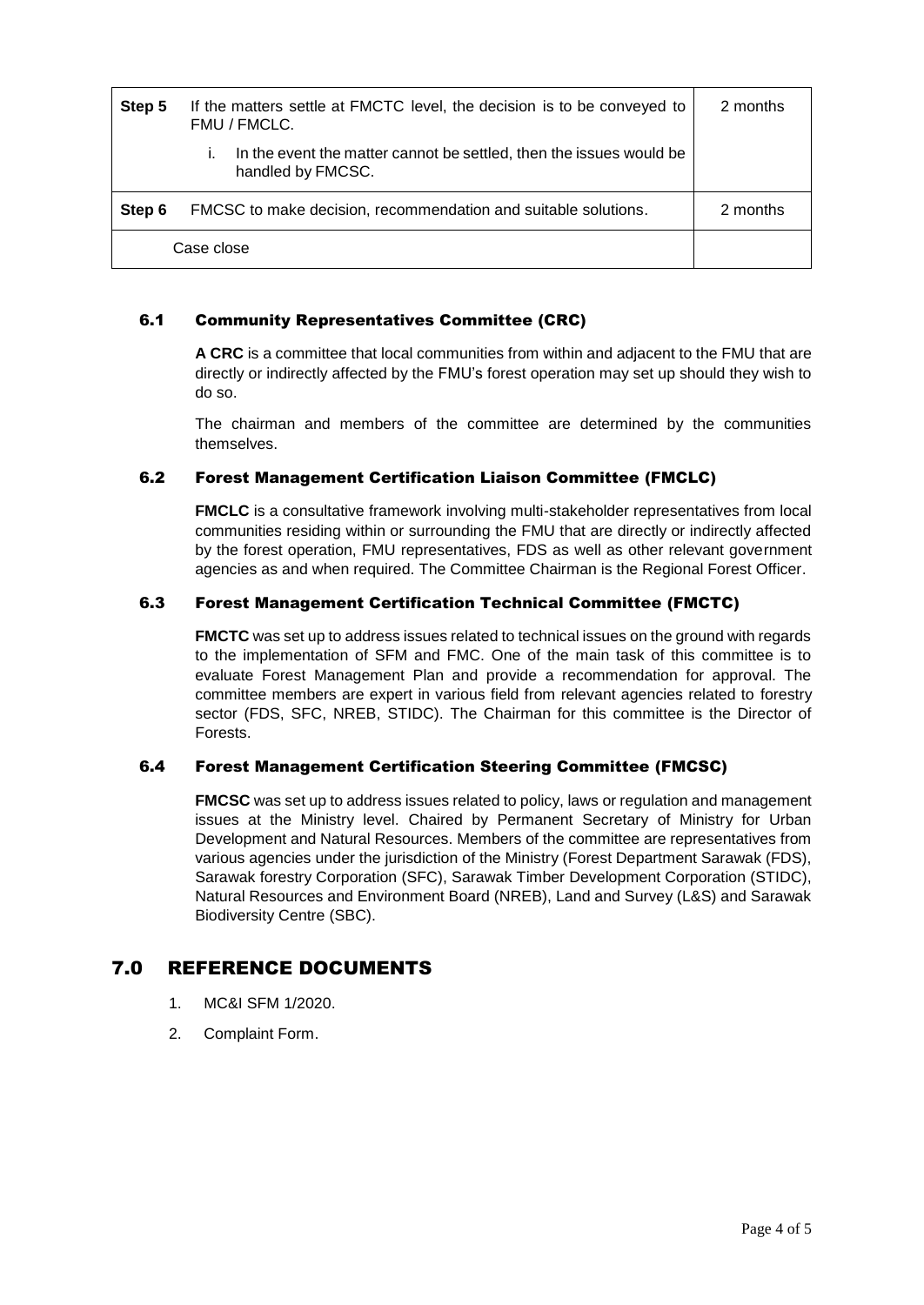| Step 5     | If the matters settle at FMCTC level, the decision is to be conveyed to<br>FMU / FMCLC.  | 2 months |
|------------|------------------------------------------------------------------------------------------|----------|
|            | In the event the matter cannot be settled, then the issues would be<br>handled by FMCSC. |          |
| Step 6     | FMCSC to make decision, recommendation and suitable solutions.                           | 2 months |
| Case close |                                                                                          |          |

#### 6.1 Community Representatives Committee (CRC)

**A CRC** is a committee that local communities from within and adjacent to the FMU that are directly or indirectly affected by the FMU's forest operation may set up should they wish to do so.

The chairman and members of the committee are determined by the communities themselves.

#### 6.2 Forest Management Certification Liaison Committee (FMCLC)

**FMCLC** is a consultative framework involving multi-stakeholder representatives from local communities residing within or surrounding the FMU that are directly or indirectly affected by the forest operation, FMU representatives, FDS as well as other relevant government agencies as and when required. The Committee Chairman is the Regional Forest Officer.

#### 6.3 Forest Management Certification Technical Committee (FMCTC)

**FMCTC** was set up to address issues related to technical issues on the ground with regards to the implementation of SFM and FMC. One of the main task of this committee is to evaluate Forest Management Plan and provide a recommendation for approval. The committee members are expert in various field from relevant agencies related to forestry sector (FDS, SFC, NREB, STIDC). The Chairman for this committee is the Director of Forests.

#### 6.4 Forest Management Certification Steering Committee (FMCSC)

**FMCSC** was set up to address issues related to policy, laws or regulation and management issues at the Ministry level. Chaired by Permanent Secretary of Ministry for Urban Development and Natural Resources. Members of the committee are representatives from various agencies under the jurisdiction of the Ministry (Forest Department Sarawak (FDS), Sarawak forestry Corporation (SFC), Sarawak Timber Development Corporation (STIDC), Natural Resources and Environment Board (NREB), Land and Survey (L&S) and Sarawak Biodiversity Centre (SBC).

## 7.0 REFERENCE DOCUMENTS

- 1. MC&I SFM 1/2020.
- 2. Complaint Form.